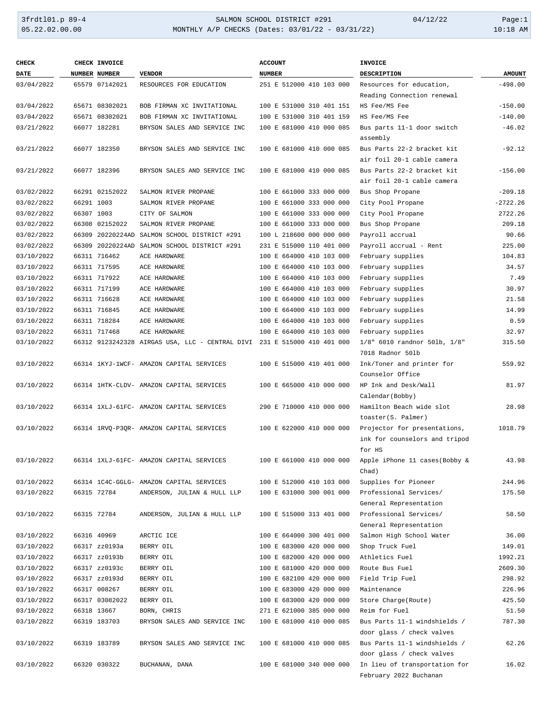### 3frdtl01.p 89-4 SALMON SCHOOL DISTRICT #291 04/12/22 Page:1 05.22.02.00.00 MONTHLY A/P CHECKS (Dates: 03/01/22 - 03/31/22) 10:18 AM

| <b>CHECK</b> |            | CHECK INVOICE  |                                                                          | <b>ACCOUNT</b>           | <b>INVOICE</b>                                             |               |
|--------------|------------|----------------|--------------------------------------------------------------------------|--------------------------|------------------------------------------------------------|---------------|
| <b>DATE</b>  |            | NUMBER NUMBER  | <b>VENDOR</b>                                                            | <b>NUMBER</b>            | <b>DESCRIPTION</b>                                         | <b>AMOUNT</b> |
| 03/04/2022   |            | 65579 07142021 | RESOURCES FOR EDUCATION                                                  | 251 E 512000 410 103 000 | Resources for education,                                   | $-498.00$     |
|              |            |                |                                                                          |                          | Reading Connection renewal                                 |               |
| 03/04/2022   |            | 65671 08302021 | BOB FIRMAN XC INVITATIONAL                                               | 100 E 531000 310 401 151 | HS Fee/MS Fee                                              | $-150.00$     |
| 03/04/2022   |            | 65671 08302021 | BOB FIRMAN XC INVITATIONAL                                               | 100 E 531000 310 401 159 | HS Fee/MS Fee                                              | $-140.00$     |
| 03/21/2022   |            | 66077 182281   | BRYSON SALES AND SERVICE INC                                             | 100 E 681000 410 000 085 | Bus parts 11-1 door switch                                 | $-46.02$      |
|              |            |                |                                                                          |                          | assembly                                                   |               |
| 03/21/2022   |            | 66077 182350   | BRYSON SALES AND SERVICE INC                                             | 100 E 681000 410 000 085 | Bus Parts 22-2 bracket kit                                 | $-92.12$      |
|              |            |                |                                                                          |                          | air foil 20-1 cable camera                                 |               |
| 03/21/2022   |            | 66077 182396   | BRYSON SALES AND SERVICE INC                                             | 100 E 681000 410 000 085 | Bus Parts 22-2 bracket kit                                 | $-156.00$     |
|              |            |                |                                                                          |                          | air foil 20-1 cable camera                                 |               |
| 03/02/2022   |            | 66291 02152022 | SALMON RIVER PROPANE                                                     | 100 E 661000 333 000 000 | Bus Shop Propane                                           | $-209.18$     |
| 03/02/2022   | 66291 1003 |                | SALMON RIVER PROPANE                                                     | 100 E 661000 333 000 000 | City Pool Propane                                          | $-2722.26$    |
| 03/02/2022   | 66307 1003 |                | CITY OF SALMON                                                           | 100 E 661000 333 000 000 | City Pool Propane                                          | 2722.26       |
| 03/02/2022   |            | 66308 02152022 | SALMON RIVER PROPANE                                                     | 100 E 661000 333 000 000 | Bus Shop Propane                                           | 209.18        |
| 03/02/2022   |            |                | 66309 20220224AD SALMON SCHOOL DISTRICT #291                             | 100 L 218600 000 000 000 | Payroll accrual                                            | 90.66         |
| 03/02/2022   |            |                | 66309 20220224AD SALMON SCHOOL DISTRICT #291                             | 231 E 515000 110 401 000 | Payroll accrual - Rent                                     | 225.00        |
| 03/10/2022   |            | 66311 716462   | ACE HARDWARE                                                             | 100 E 664000 410 103 000 | February supplies                                          | 104.83        |
| 03/10/2022   |            | 66311 717595   | ACE HARDWARE                                                             | 100 E 664000 410 103 000 | February supplies                                          | 34.57         |
| 03/10/2022   |            | 66311 717922   | ACE HARDWARE                                                             | 100 E 664000 410 103 000 | February supplies                                          | 7.49          |
| 03/10/2022   |            | 66311 717199   | ACE HARDWARE                                                             | 100 E 664000 410 103 000 | February supplies                                          | 30.97         |
| 03/10/2022   |            | 66311 716628   | ACE HARDWARE                                                             | 100 E 664000 410 103 000 | February supplies                                          | 21.58         |
| 03/10/2022   |            | 66311 716845   | ACE HARDWARE                                                             | 100 E 664000 410 103 000 | February supplies                                          | 14.99         |
| 03/10/2022   |            | 66311 718284   | ACE HARDWARE                                                             | 100 E 664000 410 103 000 | February supplies                                          | 0.59          |
| 03/10/2022   |            | 66311 717468   | ACE HARDWARE                                                             | 100 E 664000 410 103 000 | February supplies                                          | 32.97         |
| 03/10/2022   |            |                | 66312 9123242328 AIRGAS USA, LLC - CENTRAL DIVI 231 E 515000 410 401 000 |                          | 1/8" 6010 randnor 501b, 1/8"                               | 315.50        |
|              |            |                |                                                                          |                          | 7018 Radnor 501b                                           |               |
| 03/10/2022   |            |                | 66314 1KYJ-1WCF- AMAZON CAPITAL SERVICES                                 | 100 E 515000 410 401 000 | Ink/Toner and printer for                                  | 559.92        |
|              |            |                |                                                                          |                          | Counselor Office                                           |               |
| 03/10/2022   |            |                | 66314 1HTK-CLDV- AMAZON CAPITAL SERVICES                                 | 100 E 665000 410 000 000 | HP Ink and Desk/Wall                                       | 81.97         |
|              |            |                |                                                                          |                          | Calendar (Bobby)                                           |               |
| 03/10/2022   |            |                | 66314 1XLJ-61FC- AMAZON CAPITAL SERVICES                                 | 290 E 710000 410 000 000 | Hamilton Beach wide slot                                   | 28.98         |
|              |            |                |                                                                          |                          | toaster(S. Palmer)                                         |               |
| 03/10/2022   |            |                | 66314 1RVQ-P3QR- AMAZON CAPITAL SERVICES                                 | 100 E 622000 410 000 000 | Projector for presentations,                               | 1018.79       |
|              |            |                |                                                                          |                          | ink for counselors and tripod                              |               |
|              |            |                |                                                                          |                          | for HS                                                     |               |
| 03/10/2022   |            |                | 66314 1XLJ-61FC- AMAZON CAPITAL SERVICES                                 | 100 E 661000 410 000 000 | Apple iPhone 11 cases (Bobby &                             | 43.98         |
|              |            |                |                                                                          |                          | Chad)                                                      |               |
| 03/10/2022   |            |                | 66314 1C4C-GGLG- AMAZON CAPITAL SERVICES                                 | 100 E 512000 410 103 000 | Supplies for Pioneer                                       | 244.96        |
| 03/10/2022   |            | 66315 72784    | ANDERSON, JULIAN & HULL LLP                                              | 100 E 631000 300 001 000 | Professional Services/                                     | 175.50        |
|              |            |                |                                                                          |                          | General Representation                                     |               |
| 03/10/2022   |            | 66315 72784    | ANDERSON, JULIAN & HULL LLP                                              | 100 E 515000 313 401 000 | Professional Services/                                     | 58.50         |
|              |            |                |                                                                          |                          | General Representation                                     |               |
| 03/10/2022   |            | 66316 40969    | ARCTIC ICE                                                               | 100 E 664000 300 401 000 | Salmon High School Water                                   | 36.00         |
| 03/10/2022   |            | 66317 zz0193a  | BERRY OIL                                                                | 100 E 683000 420 000 000 | Shop Truck Fuel                                            | 149.01        |
| 03/10/2022   |            | 66317 zz0193b  | BERRY OIL                                                                | 100 E 682000 420 000 000 | Athletics Fuel                                             | 1992.21       |
| 03/10/2022   |            | 66317 zz0193c  | BERRY OIL                                                                | 100 E 681000 420 000 000 | Route Bus Fuel                                             | 2609.30       |
| 03/10/2022   |            | 66317 zz0193d  | BERRY OIL                                                                | 100 E 682100 420 000 000 | Field Trip Fuel                                            | 298.92        |
| 03/10/2022   |            | 66317 008267   | BERRY OIL                                                                | 100 E 683000 420 000 000 | Maintenance                                                | 226.96        |
| 03/10/2022   |            | 66317 03082022 | BERRY OIL                                                                | 100 E 683000 420 000 000 | Store Charge(Route)                                        | 425.50        |
| 03/10/2022   |            | 66318 13667    | BORN, CHRIS                                                              | 271 E 621000 385 000 000 | Reim for Fuel                                              | 51.50         |
| 03/10/2022   |            |                |                                                                          | 100 E 681000 410 000 085 | Bus Parts 11-1 windshields /                               | 787.30        |
|              |            | 66319 183703   | BRYSON SALES AND SERVICE INC                                             |                          |                                                            |               |
|              |            |                |                                                                          |                          | door glass / check valves                                  |               |
| 03/10/2022   |            | 66319 183789   | BRYSON SALES AND SERVICE INC                                             | 100 E 681000 410 000 085 | Bus Parts 11-1 windshields /                               | 62.26         |
| 03/10/2022   |            | 66320 030322   |                                                                          | 100 E 681000 340 000 000 | door glass / check valves<br>In lieu of transportation for | 16.02         |
|              |            |                | BUCHANAN, DANA                                                           |                          | February 2022 Buchanan                                     |               |
|              |            |                |                                                                          |                          |                                                            |               |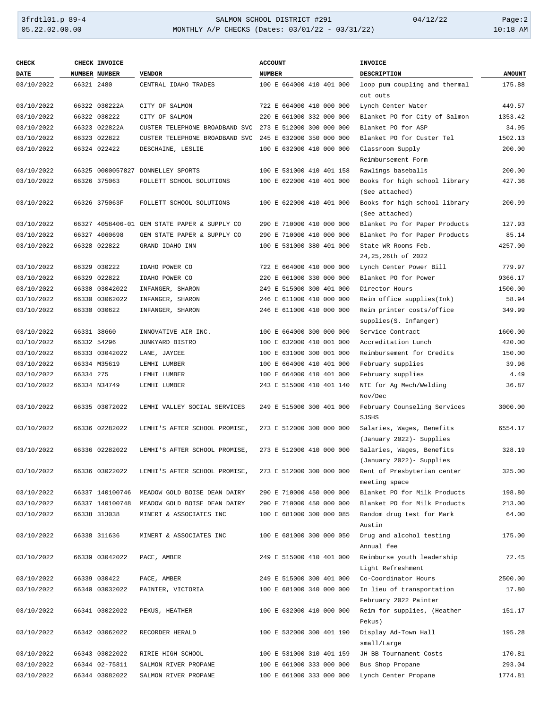## 3frdtl01.p 89-4 SALMON SCHOOL DISTRICT #291 04/12/22 Page:2 05.22.02.00.00 MONTHLY A/P CHECKS (Dates: 03/01/22 - 03/31/22) 10:18 AM

| <b>CHECK</b> |            | CHECK INVOICE        |                                              | <b>ACCOUNT</b>           | <b>INVOICE</b>                                         |               |
|--------------|------------|----------------------|----------------------------------------------|--------------------------|--------------------------------------------------------|---------------|
| <b>DATE</b>  |            | <b>NUMBER NUMBER</b> | <b>VENDOR</b>                                | <b>NUMBER</b>            | <b>DESCRIPTION</b>                                     | <b>AMOUNT</b> |
| 03/10/2022   | 66321 2480 |                      | CENTRAL IDAHO TRADES                         | 100 E 664000 410 401 000 | loop pum coupling and thermal                          | 175.88        |
| 03/10/2022   |            | 66322 030222A        | CITY OF SALMON                               | 722 E 664000 410 000 000 | cut outs<br>Lynch Center Water                         | 449.57        |
| 03/10/2022   |            | 66322 030222         | CITY OF SALMON                               | 220 E 661000 332 000 000 | Blanket PO for City of Salmon                          | 1353.42       |
| 03/10/2022   |            | 66323 022822A        | CUSTER TELEPHONE BROADBAND SVC               | 273 E 512000 300 000 000 | Blanket PO for ASP                                     | 34.95         |
| 03/10/2022   |            | 66323 022822         | CUSTER TELEPHONE BROADBAND SVC               | 245 E 632000 350 000 000 | Blanket PO for Custer Tel                              | 1502.13       |
| 03/10/2022   |            | 66324 022422         | DESCHAINE, LESLIE                            | 100 E 632000 410 000 000 | Classroom Supply                                       | 200.00        |
|              |            |                      |                                              |                          | Reimbursement Form                                     |               |
| 03/10/2022   |            |                      | 66325 0000057827 DONNELLEY SPORTS            | 100 E 531000 410 401 158 | Rawlings baseballs                                     | 200.00        |
| 03/10/2022   |            | 66326 375063         | FOLLETT SCHOOL SOLUTIONS                     | 100 E 622000 410 401 000 | Books for high school library<br>(See attached)        | 427.36        |
| 03/10/2022   |            | 66326 375063F        | FOLLETT SCHOOL SOLUTIONS                     | 100 E 622000 410 401 000 | Books for high school library<br>(See attached)        | 200.99        |
| 03/10/2022   |            |                      | 66327 4058406-01 GEM STATE PAPER & SUPPLY CO | 290 E 710000 410 000 000 | Blanket Po for Paper Products                          | 127.93        |
| 03/10/2022   |            | 66327 4060698        | GEM STATE PAPER & SUPPLY CO                  | 290 E 710000 410 000 000 | Blanket Po for Paper Products                          | 85.14         |
| 03/10/2022   |            | 66328 022822         | GRAND IDAHO INN                              | 100 E 531000 380 401 000 | State WR Rooms Feb.                                    | 4257.00       |
|              |            |                      |                                              |                          | 24,25,26th of 2022                                     |               |
| 03/10/2022   |            | 66329 030222         | IDAHO POWER CO                               | 722 E 664000 410 000 000 | Lynch Center Power Bill                                | 779.97        |
| 03/10/2022   |            | 66329 022822         | IDAHO POWER CO                               | 220 E 661000 330 000 000 | Blanket PO for Power                                   | 9366.17       |
| 03/10/2022   |            | 66330 03042022       | INFANGER, SHARON                             | 249 E 515000 300 401 000 | Director Hours                                         | 1500.00       |
| 03/10/2022   |            | 66330 03062022       | INFANGER, SHARON                             | 246 E 611000 410 000 000 | Reim office supplies(Ink)                              | 58.94         |
|              |            |                      |                                              |                          |                                                        |               |
| 03/10/2022   |            | 66330 030622         | INFANGER, SHARON                             | 246 E 611000 410 000 000 | Reim printer costs/office<br>supplies(S. Infanger)     | 349.99        |
| 03/10/2022   |            | 66331 38660          | INNOVATIVE AIR INC.                          | 100 E 664000 300 000 000 | Service Contract                                       | 1600.00       |
| 03/10/2022   |            | 66332 54296          | JUNKYARD BISTRO                              | 100 E 632000 410 001 000 | Accreditation Lunch                                    | 420.00        |
| 03/10/2022   |            | 66333 03042022       | LANE, JAYCEE                                 | 100 E 631000 300 001 000 | Reimbursement for Credits                              | 150.00        |
| 03/10/2022   |            | 66334 M35619         | LEMHI LUMBER                                 | 100 E 664000 410 401 000 | February supplies                                      | 39.96         |
| 03/10/2022   | 66334 275  |                      | LEMHI LUMBER                                 | 100 E 664000 410 401 000 | February supplies                                      | 4.49          |
| 03/10/2022   |            | 66334 N34749         | LEMHI LUMBER                                 | 243 E 515000 410 401 140 | NTE for Ag Mech/Welding<br>Nov/Dec                     | 36.87         |
| 03/10/2022   |            | 66335 03072022       | LEMHI VALLEY SOCIAL SERVICES                 | 249 E 515000 300 401 000 | February Counseling Services<br>SJSHS                  | 3000.00       |
| 03/10/2022   |            | 66336 02282022       | LEMHI'S AFTER SCHOOL PROMISE,                | 273 E 512000 300 000 000 | Salaries, Wages, Benefits<br>(January 2022) - Supplies | 6554.17       |
| 03/10/2022   |            |                      |                                              |                          |                                                        |               |
|              |            | 66336 02282022       | LEMHI'S AFTER SCHOOL PROMISE,                | 273 E 512000 410 000 000 | Salaries, Wages, Benefits                              | 328.19        |
|              |            |                      |                                              |                          | (January 2022) - Supplies                              |               |
| 03/10/2022   |            | 66336 03022022       | LEMHI'S AFTER SCHOOL PROMISE,                | 273 E 512000 300 000 000 | Rent of Presbyterian center<br>meeting space           | 325.00        |
| 03/10/2022   |            |                      | 66337 140100746 MEADOW GOLD BOISE DEAN DAIRY | 290 E 710000 450 000 000 | Blanket PO for Milk Products                           | 198.80        |
| 03/10/2022   |            |                      | 66337 140100748 MEADOW GOLD BOISE DEAN DAIRY | 290 E 710000 450 000 000 | Blanket PO for Milk Products                           | 213.00        |
| 03/10/2022   |            | 66338 313038         | MINERT & ASSOCIATES INC                      | 100 E 681000 300 000 085 | Random drug test for Mark<br>Austin                    | 64.00         |
| 03/10/2022   |            | 66338 311636         | MINERT & ASSOCIATES INC                      | 100 E 681000 300 000 050 | Drug and alcohol testing<br>Annual fee                 | 175.00        |
| 03/10/2022   |            | 66339 03042022       | PACE, AMBER                                  | 249 E 515000 410 401 000 | Reimburse youth leadership<br>Light Refreshment        | 72.45         |
|              |            |                      |                                              |                          | Co-Coordinator Hours                                   |               |
| 03/10/2022   |            | 66339 030422         | PACE, AMBER                                  | 249 E 515000 300 401 000 |                                                        | 2500.00       |
| 03/10/2022   |            | 66340 03032022       | PAINTER, VICTORIA                            | 100 E 681000 340 000 000 | In lieu of transportation<br>February 2022 Painter     | 17.80         |
| 03/10/2022   |            | 66341 03022022       | PEKUS, HEATHER                               | 100 E 632000 410 000 000 | Reim for supplies, (Heather<br>Pekus)                  | 151.17        |
| 03/10/2022   |            | 66342 03062022       | RECORDER HERALD                              | 100 E 532000 300 401 190 | Display Ad-Town Hall<br>small/Large                    | 195.28        |
| 03/10/2022   |            | 66343 03022022       | RIRIE HIGH SCHOOL                            | 100 E 531000 310 401 159 | JH BB Tournament Costs                                 | 170.81        |
| 03/10/2022   |            | 66344 02-75811       | SALMON RIVER PROPANE                         | 100 E 661000 333 000 000 | Bus Shop Propane                                       | 293.04        |
| 03/10/2022   |            | 66344 03082022       | SALMON RIVER PROPANE                         | 100 E 661000 333 000 000 | Lynch Center Propane                                   | 1774.81       |
|              |            |                      |                                              |                          |                                                        |               |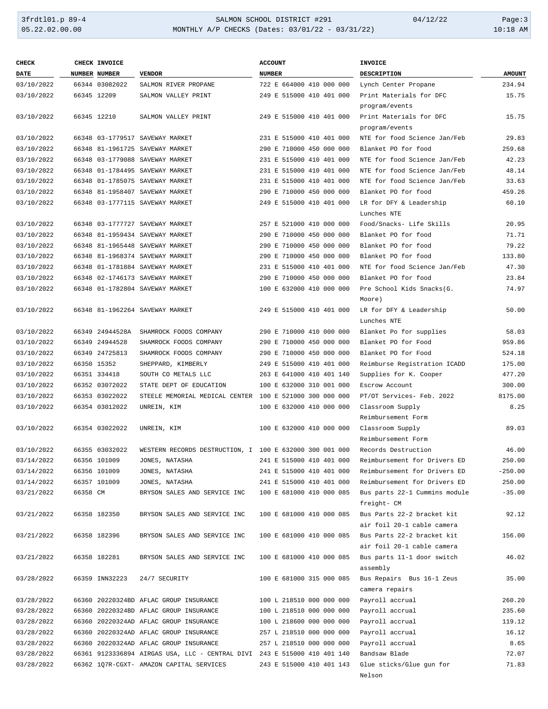# 3frdtl01.p 89-4 <br>
35.22.02.00.00 <br>
35.22.02.00.00 MONTHLY A/P CHECKS (Dates: 03/01/22 - 03/31/22) <br>
36.22.02.00.00 MONTHLY A/P CHECKS (Dates: 03/01/22 - 03/31/22) MONTHLY A/P CHECKS (Dates: 03/01/22 - 03/31/22)

| <b>CHECK</b> |          | CHECK INVOICE   |                                                                          | <b>ACCOUNT</b>           | <b>INVOICE</b>                |               |
|--------------|----------|-----------------|--------------------------------------------------------------------------|--------------------------|-------------------------------|---------------|
| <b>DATE</b>  |          | NUMBER NUMBER   | <b>VENDOR</b>                                                            | <b>NUMBER</b>            | <b>DESCRIPTION</b>            | <b>AMOUNT</b> |
| 03/10/2022   |          | 66344 03082022  | SALMON RIVER PROPANE                                                     | 722 E 664000 410 000 000 | Lynch Center Propane          | 234.94        |
| 03/10/2022   |          | 66345 12209     | SALMON VALLEY PRINT                                                      | 249 E 515000 410 401 000 | Print Materials for DFC       | 15.75         |
|              |          |                 |                                                                          |                          | program/events                |               |
| 03/10/2022   |          | 66345 12210     | SALMON VALLEY PRINT                                                      | 249 E 515000 410 401 000 | Print Materials for DFC       | 15.75         |
|              |          |                 |                                                                          |                          | program/events                |               |
| 03/10/2022   |          |                 | 66348 03-1779517 SAVEWAY MARKET                                          | 231 E 515000 410 401 000 | NTE for food Science Jan/Feb  | 29.83         |
| 03/10/2022   |          |                 | 66348 81-1961725 SAVEWAY MARKET                                          | 290 E 710000 450 000 000 | Blanket PO for food           | 259.68        |
| 03/10/2022   |          |                 | 66348 03-1779088 SAVEWAY MARKET                                          | 231 E 515000 410 401 000 | NTE for food Science Jan/Feb  | 42.23         |
| 03/10/2022   |          |                 | 66348 01-1784495 SAVEWAY MARKET                                          | 231 E 515000 410 401 000 | NTE for food Science Jan/Feb  | 48.14         |
| 03/10/2022   |          |                 | 66348 01-1785075 SAVEWAY MARKET                                          | 231 E 515000 410 401 000 | NTE for food Science Jan/Feb  | 33.63         |
| 03/10/2022   |          |                 | 66348 81-1958407 SAVEWAY MARKET                                          | 290 E 710000 450 000 000 | Blanket PO for food           | 459.26        |
| 03/10/2022   |          |                 | 66348 03-1777115 SAVEWAY MARKET                                          | 249 E 515000 410 401 000 | LR for DFY & Leadership       | 60.10         |
|              |          |                 |                                                                          |                          | Lunches NTE                   |               |
| 03/10/2022   |          |                 | 66348 03-1777727 SAVEWAY MARKET                                          | 257 E 521000 410 000 000 | Food/Snacks- Life Skills      | 20.95         |
| 03/10/2022   |          |                 | 66348 81-1959434 SAVEWAY MARKET                                          | 290 E 710000 450 000 000 | Blanket PO for food           | 71.71         |
| 03/10/2022   |          |                 | 66348 81-1965448 SAVEWAY MARKET                                          | 290 E 710000 450 000 000 | Blanket PO for food           | 79.22         |
| 03/10/2022   |          |                 | 66348 81-1968374 SAVEWAY MARKET                                          | 290 E 710000 450 000 000 | Blanket PO for food           | 133.80        |
| 03/10/2022   |          |                 | 66348 01-1781884 SAVEWAY MARKET                                          | 231 E 515000 410 401 000 | NTE for food Science Jan/Feb  | 47.30         |
| 03/10/2022   |          |                 | 66348 02-1746173 SAVEWAY MARKET                                          | 290 E 710000 450 000 000 | Blanket PO for food           | 23.84         |
| 03/10/2022   |          |                 | 66348 01-1782804 SAVEWAY MARKET                                          | 100 E 632000 410 000 000 | Pre School Kids Snacks(G.     | 74.97         |
|              |          |                 |                                                                          |                          | Moore)                        |               |
| 03/10/2022   |          |                 | 66348 81-1962264 SAVEWAY MARKET                                          | 249 E 515000 410 401 000 | LR for DFY & Leadership       | 50.00         |
|              |          |                 |                                                                          |                          | Lunches NTE                   |               |
| 03/10/2022   |          | 66349 24944528A | SHAMROCK FOODS COMPANY                                                   | 290 E 710000 410 000 000 | Blanket Po for supplies       | 58.03         |
| 03/10/2022   |          | 66349 24944528  | SHAMROCK FOODS COMPANY                                                   | 290 E 710000 450 000 000 | Blanket PO for Food           | 959.86        |
| 03/10/2022   |          | 66349 24725813  | SHAMROCK FOODS COMPANY                                                   | 290 E 710000 450 000 000 | Blanket PO for Food           | 524.18        |
| 03/10/2022   |          | 66350 15352     | SHEPPARD, KIMBERLY                                                       | 249 E 515000 410 401 000 | Reimburse Registration ICADD  | 175.00        |
| 03/10/2022   |          | 66351 334418    | SOUTH CO METALS LLC                                                      | 263 E 641000 410 401 140 | Supplies for K. Cooper        | 477.20        |
| 03/10/2022   |          | 66352 03072022  | STATE DEPT OF EDUCATION                                                  | 100 E 632000 310 001 000 | Escrow Account                | 300.00        |
| 03/10/2022   |          | 66353 03022022  | STEELE MEMORIAL MEDICAL CENTER 100 E 521000 300 000 000                  |                          | PT/OT Services- Feb. 2022     | 8175.00       |
| 03/10/2022   |          | 66354 03012022  | UNREIN, KIM                                                              | 100 E 632000 410 000 000 | Classroom Supply              | 8.25          |
|              |          |                 |                                                                          |                          | Reimbursement Form            |               |
| 03/10/2022   |          | 66354 03022022  | UNREIN, KIM                                                              | 100 E 632000 410 000 000 | Classroom Supply              | 89.03         |
|              |          |                 |                                                                          |                          | Reimbursement Form            |               |
| 03/10/2022   |          | 66355 03032022  | WESTERN RECORDS DESTRUCTION, I 100 E 632000 300 001 000                  |                          | Records Destruction           | 46.00         |
| 03/14/2022   |          | 66356 101009    | JONES, NATASHA                                                           | 241 E 515000 410 401 000 | Reimbursement for Drivers ED  | 250.00        |
| 03/14/2022   |          | 66356 101009    | JONES, NATASHA                                                           | 241 E 515000 410 401 000 | Reimbursement for Drivers ED  | $-250.00$     |
| 03/14/2022   |          | 66357 101009    | JONES, NATASHA                                                           | 241 E 515000 410 401 000 | Reimbursement for Drivers ED  | 250.00        |
| 03/21/2022   | 66358 CM |                 | BRYSON SALES AND SERVICE INC                                             | 100 E 681000 410 000 085 | Bus parts 22-1 Cummins module | $-35.00$      |
|              |          |                 |                                                                          |                          | freight- CM                   |               |
| 03/21/2022   |          | 66358 182350    | BRYSON SALES AND SERVICE INC                                             | 100 E 681000 410 000 085 | Bus Parts 22-2 bracket kit    | 92.12         |
|              |          |                 |                                                                          |                          | air foil 20-1 cable camera    |               |
| 03/21/2022   |          | 66358 182396    | BRYSON SALES AND SERVICE INC                                             | 100 E 681000 410 000 085 | Bus Parts 22-2 bracket kit    | 156.00        |
|              |          |                 |                                                                          |                          | air foil 20-1 cable camera    |               |
| 03/21/2022   |          | 66358 182281    | BRYSON SALES AND SERVICE INC                                             | 100 E 681000 410 000 085 | Bus parts 11-1 door switch    | 46.02         |
|              |          |                 |                                                                          |                          | assembly                      |               |
| 03/28/2022   |          | 66359 INN32223  | 24/7 SECURITY                                                            | 100 E 681000 315 000 085 | Bus Repairs Bus 16-1 Zeus     | 35.00         |
|              |          |                 |                                                                          |                          | camera repairs                |               |
| 03/28/2022   |          |                 | 66360 20220324BD AFLAC GROUP INSURANCE                                   | 100 L 218510 000 000 000 | Payroll accrual               | 260.20        |
| 03/28/2022   |          |                 | 66360 20220324BD AFLAC GROUP INSURANCE                                   | 100 L 218510 000 000 000 | Payroll accrual               | 235.60        |
| 03/28/2022   |          |                 | 66360 20220324AD AFLAC GROUP INSURANCE                                   | 100 L 218600 000 000 000 | Payroll accrual               | 119.12        |
| 03/28/2022   |          |                 | 66360 20220324AD AFLAC GROUP INSURANCE                                   | 257 L 218510 000 000 000 | Payroll accrual               | 16.12         |
| 03/28/2022   |          |                 | 66360 20220324AD AFLAC GROUP INSURANCE                                   | 257 L 218510 000 000 000 | Payroll accrual               | 8.65          |
| 03/28/2022   |          |                 | 66361 9123336894 AIRGAS USA, LLC - CENTRAL DIVI 243 E 515000 410 401 140 |                          | Bandsaw Blade                 | 72.07         |
| 03/28/2022   |          |                 | 66362 1Q7R-CGXT- AMAZON CAPITAL SERVICES                                 | 243 E 515000 410 401 143 | Glue sticks/Glue gun for      | 71.83         |
|              |          |                 |                                                                          |                          | Nelson                        |               |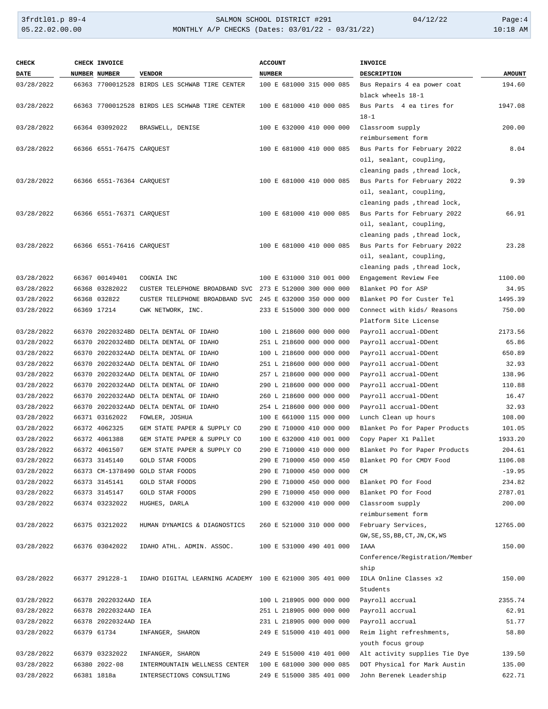| <b>CHECK</b>             | CHECK INVOICE                  |                                                                                  | <b>ACCOUNT</b>           | <b>INVOICE</b>                                          |               |
|--------------------------|--------------------------------|----------------------------------------------------------------------------------|--------------------------|---------------------------------------------------------|---------------|
| DATE                     | NUMBER NUMBER                  | <b>VENDOR</b>                                                                    | <b>NUMBER</b>            | DESCRIPTION                                             | <b>AMOUNT</b> |
| 03/28/2022               |                                | 66363 7700012528 BIRDS LES SCHWAB TIRE CENTER                                    | 100 E 681000 315 000 085 | Bus Repairs 4 ea power coat                             | 194.60        |
|                          |                                |                                                                                  |                          | black wheels 18-1                                       |               |
| 03/28/2022               |                                | 66363 7700012528 BIRDS LES SCHWAB TIRE CENTER                                    | 100 E 681000 410 000 085 | Bus Parts 4 ea tires for                                | 1947.08       |
|                          |                                |                                                                                  |                          | $18 - 1$                                                |               |
| 03/28/2022               | 66364 03092022                 | BRASWELL, DENISE                                                                 | 100 E 632000 410 000 000 | Classroom supply                                        | 200.00        |
|                          |                                |                                                                                  |                          | reimbursement form                                      |               |
| 03/28/2022               | 66366 6551-76475 CAROUEST      |                                                                                  | 100 E 681000 410 000 085 | Bus Parts for February 2022                             | 8.04          |
|                          |                                |                                                                                  |                          | oil, sealant, coupling,                                 |               |
|                          |                                |                                                                                  |                          | cleaning pads, thread lock,                             |               |
| 03/28/2022               | 66366 6551-76364 CAROUEST      |                                                                                  | 100 E 681000 410 000 085 | Bus Parts for February 2022                             | 9.39          |
|                          |                                |                                                                                  |                          | oil, sealant, coupling,                                 |               |
|                          |                                |                                                                                  |                          | cleaning pads , thread lock,                            |               |
| 03/28/2022               | 66366 6551-76371 CARQUEST      |                                                                                  | 100 E 681000 410 000 085 | Bus Parts for February 2022                             | 66.91         |
|                          |                                |                                                                                  |                          | oil, sealant, coupling,                                 |               |
|                          |                                |                                                                                  |                          | cleaning pads, thread lock,                             |               |
| 03/28/2022               | 66366 6551-76416 CARQUEST      |                                                                                  | 100 E 681000 410 000 085 | Bus Parts for February 2022                             | 23.28         |
|                          |                                |                                                                                  |                          | oil, sealant, coupling,                                 |               |
|                          | 66367 00149401                 |                                                                                  |                          | cleaning pads , thread lock,                            |               |
| 03/28/2022               |                                | COGNIA INC                                                                       | 100 E 631000 310 001 000 | Engagement Review Fee                                   | 1100.00       |
| 03/28/2022               | 66368 03282022<br>66368 032822 | CUSTER TELEPHONE BROADBAND SVC                                                   | 273 E 512000 300 000 000 | Blanket PO for ASP                                      | 34.95         |
| 03/28/2022               |                                | CUSTER TELEPHONE BROADBAND SVC                                                   | 245 E 632000 350 000 000 | Blanket PO for Custer Tel<br>Connect with kids/ Reasons | 1495.39       |
| 03/28/2022               | 66369 17214                    | CWK NETWORK, INC.                                                                | 233 E 515000 300 000 000 |                                                         | 750.00        |
|                          |                                |                                                                                  | 100 L 218600 000 000 000 | Platform Site License                                   | 2173.56       |
| 03/28/2022<br>03/28/2022 |                                | 66370 20220324BD DELTA DENTAL OF IDAHO<br>66370 20220324BD DELTA DENTAL OF IDAHO | 251 L 218600 000 000 000 | Payroll accrual-DDent                                   | 65.86         |
| 03/28/2022               |                                | 66370 20220324AD DELTA DENTAL OF IDAHO                                           | 100 L 218600 000 000 000 | Payroll accrual-DDent<br>Payroll accrual-DDent          | 650.89        |
| 03/28/2022               |                                | 66370 20220324AD DELTA DENTAL OF IDAHO                                           | 251 L 218600 000 000 000 | Payroll accrual-DDent                                   | 32.93         |
| 03/28/2022               |                                | 66370 20220324AD DELTA DENTAL OF IDAHO                                           | 257 L 218600 000 000 000 | Payroll accrual-DDent                                   | 138.96        |
| 03/28/2022               |                                | 66370 20220324AD DELTA DENTAL OF IDAHO                                           | 290 L 218600 000 000 000 | Payroll accrual-DDent                                   | 110.88        |
| 03/28/2022               |                                | 66370 20220324AD DELTA DENTAL OF IDAHO                                           | 260 L 218600 000 000 000 | Payroll accrual-DDent                                   | 16.47         |
| 03/28/2022               |                                | 66370 20220324AD DELTA DENTAL OF IDAHO                                           | 254 L 218600 000 000 000 | Payroll accrual-DDent                                   | 32.93         |
| 03/28/2022               | 66371 03162022                 | FOWLER, JOSHUA                                                                   | 100 E 661000 115 000 000 | Lunch Clean up hours                                    | 108.00        |
| 03/28/2022               | 66372 4062325                  | GEM STATE PAPER & SUPPLY CO                                                      | 290 E 710000 410 000 000 | Blanket Po for Paper Products                           | 101.05        |
| 03/28/2022               | 66372 4061388                  | GEM STATE PAPER & SUPPLY CO                                                      | 100 E 632000 410 001 000 | Copy Paper X1 Pallet                                    | 1933.20       |
| 03/28/2022               | 66372 4061507                  | GEM STATE PAPER & SUPPLY CO                                                      | 290 E 710000 410 000 000 | Blanket Po for Paper Products                           | 204.61        |
| 03/28/2022               | 66373 3145140                  | GOLD STAR FOODS                                                                  | 290 E 710000 450 000 450 | Blanket PO for CMDY Food                                | 1106.08       |
| 03/28/2022               |                                | 66373 CM-1378490 GOLD STAR FOODS                                                 | 290 E 710000 450 000 000 | <b>CM</b>                                               | $-19.95$      |
| 03/28/2022               | 66373 3145141                  | <b>GOLD STAR FOODS</b>                                                           | 290 E 710000 450 000 000 | Blanket PO for Food                                     | 234.82        |
| 03/28/2022               | 66373 3145147                  | <b>GOLD STAR FOODS</b>                                                           | 290 E 710000 450 000 000 | Blanket PO for Food                                     | 2787.01       |
| 03/28/2022               | 66374 03232022                 | HUGHES, DARLA                                                                    | 100 E 632000 410 000 000 | Classroom supply                                        | 200.00        |
|                          |                                |                                                                                  |                          | reimbursement form                                      |               |
| 03/28/2022               | 66375 03212022                 | HUMAN DYNAMICS & DIAGNOSTICS                                                     | 260 E 521000 310 000 000 | February Services,                                      | 12765.00      |
|                          |                                |                                                                                  |                          | GW, SE, SS, BB, CT, JN, CK, WS                          |               |
| 03/28/2022               | 66376 03042022                 | IDAHO ATHL. ADMIN. ASSOC.                                                        | 100 E 531000 490 401 000 | IAAA                                                    | 150.00        |
|                          |                                |                                                                                  |                          | Conference/Registration/Member                          |               |
|                          |                                |                                                                                  |                          | ship                                                    |               |
| 03/28/2022               | 66377 291228-1                 | IDAHO DIGITAL LEARNING ACADEMY 100 E 621000 305 401 000                          |                          | IDLA Online Classes x2                                  | 150.00        |
|                          |                                |                                                                                  |                          | Students                                                |               |
| 03/28/2022               | 66378 20220324AD IEA           |                                                                                  | 100 L 218905 000 000 000 | Payroll accrual                                         | 2355.74       |
| 03/28/2022               | 66378 20220324AD IEA           |                                                                                  | 251 L 218905 000 000 000 | Payroll accrual                                         | 62.91         |
| 03/28/2022               | 66378 20220324AD IEA           |                                                                                  | 231 L 218905 000 000 000 | Payroll accrual                                         | 51.77         |
| 03/28/2022               | 66379 61734                    | INFANGER, SHARON                                                                 | 249 E 515000 410 401 000 | Reim light refreshments,                                | 58.80         |
|                          |                                |                                                                                  |                          | youth focus group                                       |               |
| 03/28/2022               | 66379 03232022                 | INFANGER, SHARON                                                                 | 249 E 515000 410 401 000 | Alt activity supplies Tie Dye                           | 139.50        |
| 03/28/2022               | 66380 2022-08                  | INTERMOUNTAIN WELLNESS CENTER                                                    | 100 E 681000 300 000 085 | DOT Physical for Mark Austin                            | 135.00        |
| 03/28/2022               | 66381 1818a                    | INTERSECTIONS CONSULTING                                                         | 249 E 515000 385 401 000 | John Berenek Leadership                                 | 622.71        |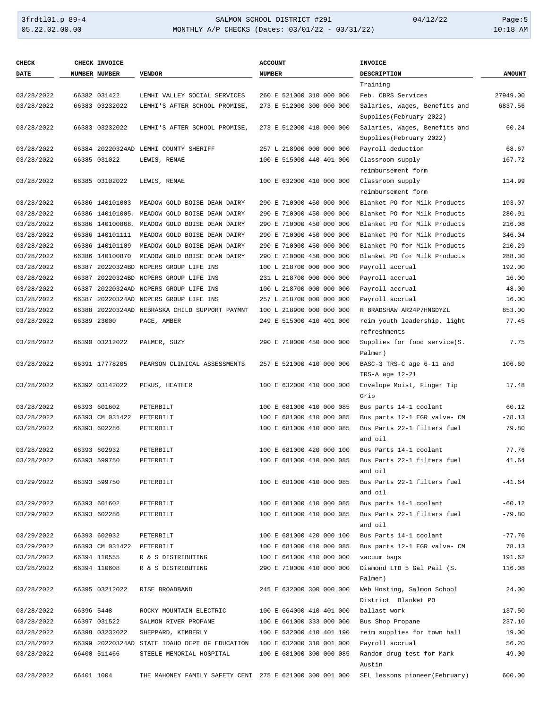## 3frdtl01.p 89-4 SALMON SCHOOL DISTRICT #291 04/12/22 Page:5 05.22.02.00.00 MONTHLY A/P CHECKS (Dates: 03/01/22 - 03/31/22) 10:18 AM

| <b>CHECK</b> |            | CHECK INVOICE             |                                                         | <b>ACCOUNT</b>           | <b>INVOICE</b>                 |               |
|--------------|------------|---------------------------|---------------------------------------------------------|--------------------------|--------------------------------|---------------|
| DATE         |            | NUMBER NUMBER             | <b>VENDOR</b>                                           | <b>NUMBER</b>            | <b>DESCRIPTION</b>             | <b>AMOUNT</b> |
|              |            |                           |                                                         |                          | Training                       |               |
| 03/28/2022   |            | 66382 031422              | LEMHI VALLEY SOCIAL SERVICES                            | 260 E 521000 310 000 000 | Feb. CBRS Services             | 27949.00      |
| 03/28/2022   |            | 66383 03232022            | LEMHI'S AFTER SCHOOL PROMISE,                           | 273 E 512000 300 000 000 | Salaries, Wages, Benefits and  | 6837.56       |
|              |            |                           |                                                         |                          | Supplies (February 2022)       |               |
| 03/28/2022   |            | 66383 03232022            | LEMHI'S AFTER SCHOOL PROMISE,                           | 273 E 512000 410 000 000 | Salaries, Wages, Benefits and  | 60.24         |
|              |            |                           |                                                         |                          | Supplies (February 2022)       |               |
| 03/28/2022   |            |                           | 66384 20220324AD LEMHI COUNTY SHERIFF                   | 257 L 218900 000 000 000 | Payroll deduction              | 68.67         |
| 03/28/2022   |            | 66385 031022              | LEWIS, RENAE                                            | 100 E 515000 440 401 000 | Classroom supply               | 167.72        |
|              |            |                           |                                                         |                          | reimbursement form             |               |
| 03/28/2022   |            | 66385 03102022            | LEWIS, RENAE                                            | 100 E 632000 410 000 000 | Classroom supply               | 114.99        |
|              |            |                           |                                                         |                          | reimbursement form             |               |
| 03/28/2022   |            | 66386 140101003           | MEADOW GOLD BOISE DEAN DAIRY                            | 290 E 710000 450 000 000 | Blanket PO for Milk Products   | 193.07        |
| 03/28/2022   |            |                           | 66386 140101005. MEADOW GOLD BOISE DEAN DAIRY           | 290 E 710000 450 000 000 | Blanket PO for Milk Products   | 280.91        |
| 03/28/2022   |            |                           | 66386 140100868. MEADOW GOLD BOISE DEAN DAIRY           | 290 E 710000 450 000 000 | Blanket PO for Milk Products   | 216.08        |
| 03/28/2022   |            | 66386 140101111           | MEADOW GOLD BOISE DEAN DAIRY                            | 290 E 710000 450 000 000 | Blanket PO for Milk Products   | 346.04        |
| 03/28/2022   |            | 66386 140101109           | MEADOW GOLD BOISE DEAN DAIRY                            | 290 E 710000 450 000 000 | Blanket PO for Milk Products   | 210.29        |
| 03/28/2022   |            | 66386 140100870           | MEADOW GOLD BOISE DEAN DAIRY                            | 290 E 710000 450 000 000 | Blanket PO for Milk Products   | 288.30        |
| 03/28/2022   |            |                           | 66387 20220324BD NCPERS GROUP LIFE INS                  | 100 L 218700 000 000 000 | Payroll accrual                | 192.00        |
| 03/28/2022   |            |                           | 66387 20220324BD NCPERS GROUP LIFE INS                  | 231 L 218700 000 000 000 | Payroll accrual                | 16.00         |
| 03/28/2022   |            |                           | 66387 20220324AD NCPERS GROUP LIFE INS                  | 100 L 218700 000 000 000 | Payroll accrual                | 48.00         |
| 03/28/2022   |            |                           | 66387 20220324AD NCPERS GROUP LIFE INS                  | 257 L 218700 000 000 000 | Payroll accrual                | 16.00         |
| 03/28/2022   |            |                           | 66388 20220324AD NEBRASKA CHILD SUPPORT PAYMNT          | 100 L 218900 000 000 000 | R BRADSHAW AR24P7HNGDYZL       | 853.00        |
| 03/28/2022   |            | 66389 23000               | PACE, AMBER                                             | 249 E 515000 410 401 000 | reim youth leadership, light   | 77.45         |
|              |            |                           |                                                         |                          | refreshments                   |               |
| 03/28/2022   |            | 66390 03212022            | PALMER, SUZY                                            | 290 E 710000 450 000 000 | Supplies for food service(S.   | 7.75          |
|              |            |                           |                                                         |                          | Palmer)                        |               |
| 03/28/2022   |            | 66391 17778205            | PEARSON CLINICAL ASSESSMENTS                            | 257 E 521000 410 000 000 | BASC-3 TRS-C age 6-11 and      | 106.60        |
|              |            |                           |                                                         |                          | TRS-A age 12-21                |               |
| 03/28/2022   |            | 66392 03142022            | PEKUS, HEATHER                                          | 100 E 632000 410 000 000 | Envelope Moist, Finger Tip     | 17.48         |
|              |            |                           |                                                         |                          | Grip                           |               |
| 03/28/2022   |            | 66393 601602              | PETERBILT                                               | 100 E 681000 410 000 085 | Bus parts 14-1 coolant         | 60.12         |
| 03/28/2022   |            | 66393 CM 031422           | PETERBILT                                               | 100 E 681000 410 000 085 | Bus parts 12-1 EGR valve- CM   | $-78.13$      |
| 03/28/2022   |            | 66393 602286              | PETERBILT                                               | 100 E 681000 410 000 085 | Bus Parts 22-1 filters fuel    | 79.80         |
|              |            |                           |                                                         |                          | and oil                        |               |
| 03/28/2022   |            | 66393 602932              | PETERBILT                                               | 100 E 681000 420 000 100 | Bus Parts 14-1 coolant         | 77.76         |
| 03/28/2022   |            | 66393 599750              | PETERBILT                                               | 100 E 681000 410 000 085 | Bus Parts 22-1 filters fuel    | 41.64         |
|              |            |                           |                                                         |                          | and oil                        |               |
| 03/29/2022   |            | 66393 599750              | PETERBILT                                               | 100 E 681000 410 000 085 | Bus Parts 22-1 filters fuel    | $-41.64$      |
|              |            |                           |                                                         |                          | and oil                        |               |
| 03/29/2022   |            | 66393 601602              | PETERBILT                                               | 100 E 681000 410 000 085 | Bus parts 14-1 coolant         | $-60.12$      |
| 03/29/2022   |            | 66393 602286              | PETERBILT                                               | 100 E 681000 410 000 085 | Bus Parts 22-1 filters fuel    | $-79.80$      |
|              |            |                           |                                                         |                          | and oil                        |               |
| 03/29/2022   |            | 66393 602932              | PETERBILT                                               | 100 E 681000 420 000 100 | Bus Parts 14-1 coolant         | $-77.76$      |
| 03/29/2022   |            | 66393 CM 031422 PETERBILT |                                                         | 100 E 681000 410 000 085 | Bus parts 12-1 EGR valve- CM   | 78.13         |
| 03/28/2022   |            | 66394 110555              | R & S DISTRIBUTING                                      | 100 E 661000 410 000 000 | vacuum bags                    | 191.62        |
| 03/28/2022   |            | 66394 110608              | R & S DISTRIBUTING                                      | 290 E 710000 410 000 000 | Diamond LTD 5 Gal Pail (S.     | 116.08        |
|              |            |                           |                                                         |                          | Palmer)                        |               |
| 03/28/2022   |            | 66395 03212022            | RISE BROADBAND                                          | 245 E 632000 300 000 000 | Web Hosting, Salmon School     | 24.00         |
|              |            |                           |                                                         |                          | District Blanket PO            |               |
| 03/28/2022   | 66396 5448 |                           | ROCKY MOUNTAIN ELECTRIC                                 | 100 E 664000 410 401 000 | ballast work                   | 137.50        |
| 03/28/2022   |            | 66397 031522              | SALMON RIVER PROPANE                                    | 100 E 661000 333 000 000 | Bus Shop Propane               | 237.10        |
| 03/28/2022   |            | 66398 03232022            | SHEPPARD, KIMBERLY                                      | 100 E 532000 410 401 190 | reim supplies for town hall    | 19.00         |
| 03/28/2022   |            |                           | 66399 20220324AD STATE IDAHO DEPT OF EDUCATION          | 100 E 632000 310 001 000 | Payroll accrual                | 56.20         |
| 03/28/2022   |            | 66400 511466              | STEELE MEMORIAL HOSPITAL                                | 100 E 681000 300 000 085 | Random drug test for Mark      | 49.00         |
|              |            |                           |                                                         |                          | Austin                         |               |
| 03/28/2022   | 66401 1004 |                           | THE MAHONEY FAMILY SAFETY CENT 275 E 621000 300 001 000 |                          | SEL lessons pioneer (February) | 600.00        |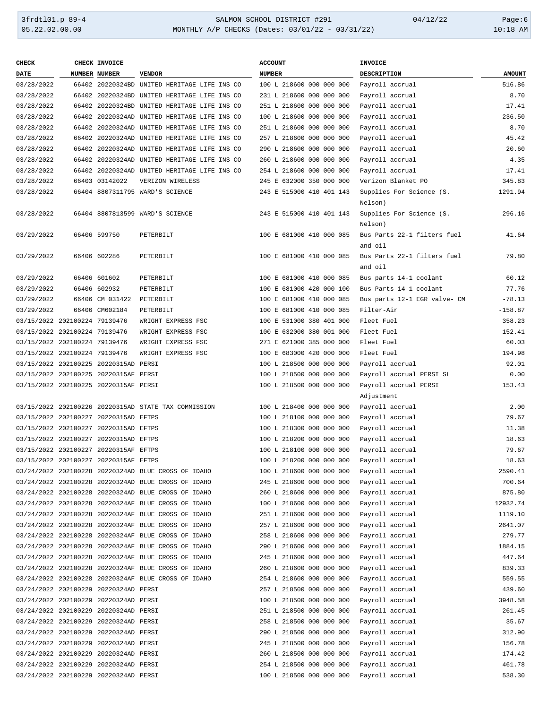| <b>CHECK</b>                  | CHECK INVOICE                         |                                                      | <b>ACCOUNT</b>           | INVOICE                                |               |
|-------------------------------|---------------------------------------|------------------------------------------------------|--------------------------|----------------------------------------|---------------|
| DATE                          | NUMBER NUMBER                         | <b>VENDOR</b>                                        | <b>NUMBER</b>            | <b>DESCRIPTION</b>                     | <b>AMOUNT</b> |
| 03/28/2022                    |                                       | 66402 20220324BD UNITED HERITAGE LIFE INS CO         | 100 L 218600 000 000 000 | Payroll accrual                        | 516.86        |
| 03/28/2022                    |                                       | 66402 20220324BD UNITED HERITAGE LIFE INS CO         | 231 L 218600 000 000 000 | Payroll accrual                        | 8.70          |
| 03/28/2022                    |                                       | 66402 20220324BD UNITED HERITAGE LIFE INS CO         | 251 L 218600 000 000 000 | Payroll accrual                        | 17.41         |
| 03/28/2022                    |                                       | 66402 20220324AD UNITED HERITAGE LIFE INS CO         | 100 L 218600 000 000 000 | Payroll accrual                        | 236.50        |
| 03/28/2022                    |                                       | 66402 20220324AD UNITED HERITAGE LIFE INS CO         | 251 L 218600 000 000 000 | Payroll accrual                        | 8.70          |
| 03/28/2022                    |                                       | 66402 20220324AD UNITED HERITAGE LIFE INS CO         | 257 L 218600 000 000 000 | Payroll accrual                        | 45.42         |
| 03/28/2022                    |                                       | 66402 20220324AD UNITED HERITAGE LIFE INS CO         | 290 L 218600 000 000 000 | Payroll accrual                        | 20.60         |
| 03/28/2022                    |                                       | 66402 20220324AD UNITED HERITAGE LIFE INS CO         | 260 L 218600 000 000 000 | Payroll accrual                        | 4.35          |
| 03/28/2022                    |                                       | 66402 20220324AD UNITED HERITAGE LIFE INS CO         | 254 L 218600 000 000 000 | Payroll accrual                        | 17.41         |
| 03/28/2022                    | 66403 03142022                        | VERIZON WIRELESS                                     | 245 E 632000 350 000 000 | Verizon Blanket PO                     | 345.83        |
| 03/28/2022                    |                                       | 66404 8807311795 WARD'S SCIENCE                      | 243 E 515000 410 401 143 | Supplies For Science (S.<br>Nelson)    | 1291.94       |
| 03/28/2022                    |                                       | 66404 8807813599 WARD'S SCIENCE                      | 243 E 515000 410 401 143 | Supplies For Science (S.<br>Nelson)    | 296.16        |
| 03/29/2022                    | 66406 599750                          | PETERBILT                                            | 100 E 681000 410 000 085 | Bus Parts 22-1 filters fuel<br>and oil | 41.64         |
| 03/29/2022                    | 66406 602286                          | PETERBILT                                            | 100 E 681000 410 000 085 | Bus Parts 22-1 filters fuel            | 79.80         |
|                               |                                       |                                                      |                          | and oil                                |               |
| 03/29/2022                    | 66406 601602                          | PETERBILT                                            | 100 E 681000 410 000 085 | Bus parts 14-1 coolant                 | 60.12         |
| 03/29/2022                    | 66406 602932                          | PETERBILT                                            | 100 E 681000 420 000 100 | Bus Parts 14-1 coolant                 | 77.76         |
| 03/29/2022                    | 66406 CM 031422                       | PETERBILT                                            | 100 E 681000 410 000 085 | Bus parts 12-1 EGR valve- CM           | $-78.13$      |
| 03/29/2022                    | 66406 CM602184                        | PETERBILT                                            | 100 E 681000 410 000 085 | Filter-Air                             | $-158.87$     |
| 03/15/2022 202100224 79139476 |                                       | WRIGHT EXPRESS FSC                                   | 100 E 531000 380 401 000 | Fleet Fuel                             | 358.23        |
| 03/15/2022 202100224 79139476 |                                       | WRIGHT EXPRESS FSC                                   | 100 E 632000 380 001 000 | Fleet Fuel                             | 152.41        |
| 03/15/2022 202100224 79139476 |                                       | WRIGHT EXPRESS FSC                                   | 271 E 621000 385 000 000 | Fleet Fuel                             | 60.03         |
| 03/15/2022 202100224 79139476 |                                       | WRIGHT EXPRESS FSC                                   | 100 E 683000 420 000 000 | Fleet Fuel                             | 194.98        |
|                               | 03/15/2022 202100225 20220315AD PERSI |                                                      | 100 L 218500 000 000 000 | Payroll accrual                        | 92.01         |
|                               | 03/15/2022 202100225 20220315AF PERSI |                                                      | 100 L 218500 000 000 000 | Payroll accrual PERSI SL               | 0.00          |
|                               | 03/15/2022 202100225 20220315AF PERSI |                                                      | 100 L 218500 000 000 000 | Payroll accrual PERSI<br>Adjustment    | 153.43        |
|                               |                                       | 03/15/2022 202100226 20220315AD STATE TAX COMMISSION | 100 L 218400 000 000 000 | Payroll accrual                        | 2.00          |
|                               | 03/15/2022 202100227 20220315AD EFTPS |                                                      | 100 L 218100 000 000 000 | Payroll accrual                        | 79.67         |
|                               | 03/15/2022 202100227 20220315AD EFTPS |                                                      | 100 L 218300 000 000 000 | Payroll accrual                        | 11.38         |
|                               | 03/15/2022 202100227 20220315AD EFTPS |                                                      | 100 L 218200 000 000 000 | Payroll accrual                        | 18.63         |
|                               | 03/15/2022 202100227 20220315AF EFTPS |                                                      | 100 L 218100 000 000 000 | Payroll accrual                        | 79.67         |
|                               | 03/15/2022 202100227 20220315AF EFTPS |                                                      | 100 L 218200 000 000 000 | Payroll accrual                        | 18.63         |
|                               |                                       | 03/24/2022 202100228 20220324AD BLUE CROSS OF IDAHO  | 100 L 218600 000 000 000 | Payroll accrual                        | 2590.41       |
|                               |                                       | 03/24/2022 202100228 20220324AD BLUE CROSS OF IDAHO  | 245 L 218600 000 000 000 | Payroll accrual                        | 700.64        |
|                               |                                       | 03/24/2022 202100228 20220324AD BLUE CROSS OF IDAHO  | 260 L 218600 000 000 000 | Payroll accrual                        | 875.80        |
|                               |                                       | 03/24/2022 202100228 20220324AF BLUE CROSS OF IDAHO  | 100 L 218600 000 000 000 | Payroll accrual                        | 12932.74      |
|                               |                                       | 03/24/2022 202100228 20220324AF BLUE CROSS OF IDAHO  | 251 L 218600 000 000 000 | Payroll accrual                        | 1119.10       |
|                               |                                       | 03/24/2022 202100228 20220324AF BLUE CROSS OF IDAHO  | 257 L 218600 000 000 000 | Payroll accrual                        | 2641.07       |
|                               |                                       | 03/24/2022 202100228 20220324AF BLUE CROSS OF IDAHO  | 258 L 218600 000 000 000 | Payroll accrual                        | 279.77        |
|                               |                                       | 03/24/2022 202100228 20220324AF BLUE CROSS OF IDAHO  | 290 L 218600 000 000 000 | Payroll accrual                        | 1884.15       |
|                               |                                       | 03/24/2022 202100228 20220324AF BLUE CROSS OF IDAHO  | 245 L 218600 000 000 000 | Payroll accrual                        | 447.64        |
|                               |                                       | 03/24/2022 202100228 20220324AF BLUE CROSS OF IDAHO  | 260 L 218600 000 000 000 | Payroll accrual                        | 839.33        |
|                               |                                       | 03/24/2022 202100228 20220324AF BLUE CROSS OF IDAHO  | 254 L 218600 000 000 000 | Payroll accrual                        | 559.55        |
|                               | 03/24/2022 202100229 20220324AD PERSI |                                                      | 257 L 218500 000 000 000 | Payroll accrual                        | 439.60        |
|                               | 03/24/2022 202100229 20220324AD PERSI |                                                      | 100 L 218500 000 000 000 | Payroll accrual                        | 3948.58       |
|                               | 03/24/2022 202100229 20220324AD PERSI |                                                      | 251 L 218500 000 000 000 | Payroll accrual                        | 261.45        |
|                               | 03/24/2022 202100229 20220324AD PERSI |                                                      | 258 L 218500 000 000 000 | Payroll accrual                        | 35.67         |
|                               | 03/24/2022 202100229 20220324AD PERSI |                                                      | 290 L 218500 000 000 000 | Payroll accrual                        | 312.90        |
|                               | 03/24/2022 202100229 20220324AD PERSI |                                                      | 245 L 218500 000 000 000 | Payroll accrual                        | 156.78        |
|                               | 03/24/2022 202100229 20220324AD PERSI |                                                      | 260 L 218500 000 000 000 | Payroll accrual                        | 174.42        |
|                               | 03/24/2022 202100229 20220324AD PERSI |                                                      | 254 L 218500 000 000 000 | Payroll accrual                        | 461.78        |
|                               | 03/24/2022 202100229 20220324AD PERSI |                                                      | 100 L 218500 000 000 000 | Payroll accrual                        | 538.30        |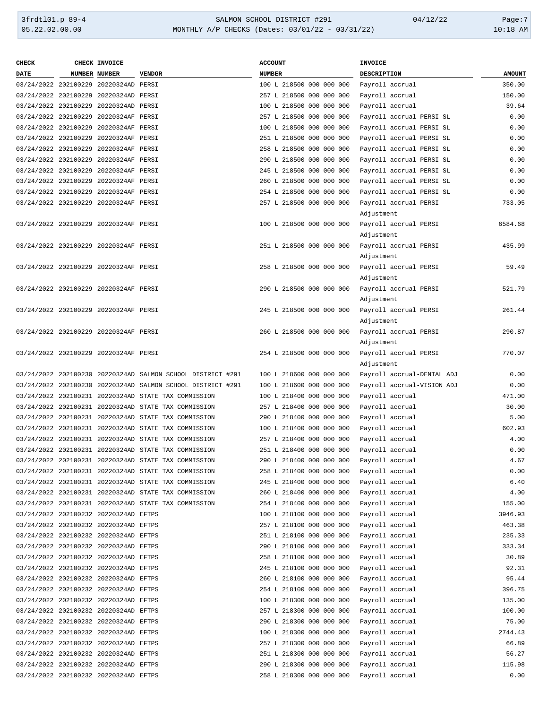| <b>CHECK</b> | CHECK INVOICE                         |                                                             | <b>ACCOUNT</b>           | <b>INVOICE</b>             |               |
|--------------|---------------------------------------|-------------------------------------------------------------|--------------------------|----------------------------|---------------|
| DATE         | <b>NUMBER NUMBER</b>                  | <b>VENDOR</b>                                               | <b>NUMBER</b>            | DESCRIPTION                | <b>AMOUNT</b> |
|              | 03/24/2022 202100229 20220324AD PERSI |                                                             | 100 L 218500 000 000 000 | Payroll accrual            | 350.00        |
|              | 03/24/2022 202100229 20220324AD PERSI |                                                             | 257 L 218500 000 000 000 | Payroll accrual            | 150.00        |
|              | 03/24/2022 202100229 20220324AD PERSI |                                                             | 100 L 218500 000 000 000 | Payroll accrual            | 39.64         |
|              | 03/24/2022 202100229 20220324AF PERSI |                                                             | 257 L 218500 000 000 000 | Payroll accrual PERSI SL   | 0.00          |
|              | 03/24/2022 202100229 20220324AF PERSI |                                                             | 100 L 218500 000 000 000 | Payroll accrual PERSI SL   | 0.00          |
|              | 03/24/2022 202100229 20220324AF PERSI |                                                             | 251 L 218500 000 000 000 | Payroll accrual PERSI SL   | 0.00          |
|              | 03/24/2022 202100229 20220324AF PERSI |                                                             | 258 L 218500 000 000 000 | Payroll accrual PERSI SL   | 0.00          |
|              | 03/24/2022 202100229 20220324AF PERSI |                                                             | 290 L 218500 000 000 000 |                            | 0.00          |
|              |                                       |                                                             |                          | Payroll accrual PERSI SL   |               |
|              | 03/24/2022 202100229 20220324AF PERSI |                                                             | 245 L 218500 000 000 000 | Payroll accrual PERSI SL   | 0.00          |
|              | 03/24/2022 202100229 20220324AF PERSI |                                                             | 260 L 218500 000 000 000 | Payroll accrual PERSI SL   | 0.00          |
|              | 03/24/2022 202100229 20220324AF PERSI |                                                             | 254 L 218500 000 000 000 | Payroll accrual PERSI SL   | 0.00          |
|              | 03/24/2022 202100229 20220324AF PERSI |                                                             | 257 L 218500 000 000 000 | Payroll accrual PERSI      | 733.05        |
|              |                                       |                                                             |                          | Adjustment                 |               |
|              | 03/24/2022 202100229 20220324AF PERSI |                                                             | 100 L 218500 000 000 000 | Payroll accrual PERSI      | 6584.68       |
|              |                                       |                                                             |                          | Adjustment                 |               |
|              | 03/24/2022 202100229 20220324AF PERSI |                                                             | 251 L 218500 000 000 000 | Payroll accrual PERSI      | 435.99        |
|              |                                       |                                                             |                          | Adjustment                 |               |
|              | 03/24/2022 202100229 20220324AF PERSI |                                                             | 258 L 218500 000 000 000 | Payroll accrual PERSI      | 59.49         |
|              |                                       |                                                             |                          | Adjustment                 |               |
|              | 03/24/2022 202100229 20220324AF PERSI |                                                             | 290 L 218500 000 000 000 | Payroll accrual PERSI      | 521.79        |
|              |                                       |                                                             |                          | Adjustment                 |               |
|              | 03/24/2022 202100229 20220324AF PERSI |                                                             | 245 L 218500 000 000 000 | Payroll accrual PERSI      | 261.44        |
|              |                                       |                                                             |                          | Adjustment                 |               |
|              | 03/24/2022 202100229 20220324AF PERSI |                                                             | 260 L 218500 000 000 000 | Payroll accrual PERSI      | 290.87        |
|              |                                       |                                                             |                          | Adjustment                 |               |
|              | 03/24/2022 202100229 20220324AF PERSI |                                                             | 254 L 218500 000 000 000 | Payroll accrual PERSI      | 770.07        |
|              |                                       |                                                             |                          | Adjustment                 |               |
|              |                                       | 03/24/2022 202100230 20220324AD SALMON SCHOOL DISTRICT #291 | 100 L 218600 000 000 000 | Payroll accrual-DENTAL ADJ | 0.00          |
|              |                                       | 03/24/2022 202100230 20220324AD SALMON SCHOOL DISTRICT #291 | 100 L 218600 000 000 000 | Payroll accrual-VISION ADJ | 0.00          |
|              |                                       | 03/24/2022 202100231 20220324AD STATE TAX COMMISSION        |                          |                            | 471.00        |
|              |                                       |                                                             | 100 L 218400 000 000 000 | Payroll accrual            |               |
|              |                                       | 03/24/2022 202100231 20220324AD STATE TAX COMMISSION        | 257 L 218400 000 000 000 | Payroll accrual            | 30.00         |
|              |                                       | 03/24/2022 202100231 20220324AD STATE TAX COMMISSION        | 290 L 218400 000 000 000 | Payroll accrual            | 5.00          |
|              |                                       | 03/24/2022 202100231 20220324AD STATE TAX COMMISSION        | 100 L 218400 000 000 000 | Payroll accrual            | 602.93        |
|              |                                       | 03/24/2022 202100231 20220324AD STATE TAX COMMISSION        | 257 L 218400 000 000 000 | Payroll accrual            | 4.00          |
|              |                                       | 03/24/2022 202100231 20220324AD STATE TAX COMMISSION        | 251 L 218400 000 000 000 | Payroll accrual            | 0.00          |
|              |                                       | 03/24/2022 202100231 20220324AD STATE TAX COMMISSION        | 290 L 218400 000 000 000 | Payroll accrual            | 4.67          |
|              |                                       | 03/24/2022 202100231 20220324AD STATE TAX COMMISSION        | 258 L 218400 000 000 000 | Payroll accrual            | 0.00          |
|              |                                       | 03/24/2022 202100231 20220324AD STATE TAX COMMISSION        | 245 L 218400 000 000 000 | Payroll accrual            | 6.40          |
|              |                                       | 03/24/2022 202100231 20220324AD STATE TAX COMMISSION        | 260 L 218400 000 000 000 | Payroll accrual            | 4.00          |
|              |                                       | 03/24/2022 202100231 20220324AD STATE TAX COMMISSION        | 254 L 218400 000 000 000 | Payroll accrual            | 155.00        |
|              | 03/24/2022 202100232 20220324AD EFTPS |                                                             | 100 L 218100 000 000 000 | Payroll accrual            | 3946.93       |
|              | 03/24/2022 202100232 20220324AD EFTPS |                                                             | 257 L 218100 000 000 000 | Payroll accrual            | 463.38        |
|              | 03/24/2022 202100232 20220324AD EFTPS |                                                             | 251 L 218100 000 000 000 | Payroll accrual            | 235.33        |
|              | 03/24/2022 202100232 20220324AD EFTPS |                                                             | 290 L 218100 000 000 000 | Payroll accrual            | 333.34        |
|              | 03/24/2022 202100232 20220324AD EFTPS |                                                             | 258 L 218100 000 000 000 | Payroll accrual            | 30.89         |
|              | 03/24/2022 202100232 20220324AD EFTPS |                                                             | 245 L 218100 000 000 000 | Payroll accrual            | 92.31         |
|              | 03/24/2022 202100232 20220324AD EFTPS |                                                             | 260 L 218100 000 000 000 | Payroll accrual            | 95.44         |
|              | 03/24/2022 202100232 20220324AD EFTPS |                                                             | 254 L 218100 000 000 000 | Payroll accrual            | 396.75        |
|              | 03/24/2022 202100232 20220324AD EFTPS |                                                             | 100 L 218300 000 000 000 | Payroll accrual            | 135.00        |
|              | 03/24/2022 202100232 20220324AD EFTPS |                                                             | 257 L 218300 000 000 000 | Payroll accrual            | 100.00        |
|              | 03/24/2022 202100232 20220324AD EFTPS |                                                             | 290 L 218300 000 000 000 | Payroll accrual            | 75.00         |
|              | 03/24/2022 202100232 20220324AD EFTPS |                                                             | 100 L 218300 000 000 000 | Payroll accrual            | 2744.43       |
|              | 03/24/2022 202100232 20220324AD EFTPS |                                                             | 257 L 218300 000 000 000 |                            | 66.89         |
|              |                                       |                                                             |                          | Payroll accrual            |               |
|              | 03/24/2022 202100232 20220324AD EFTPS |                                                             | 251 L 218300 000 000 000 | Payroll accrual            | 56.27         |
|              | 03/24/2022 202100232 20220324AD EFTPS |                                                             | 290 L 218300 000 000 000 | Payroll accrual            | 115.98        |
|              | 03/24/2022 202100232 20220324AD EFTPS |                                                             | 258 L 218300 000 000 000 | Payroll accrual            | 0.00          |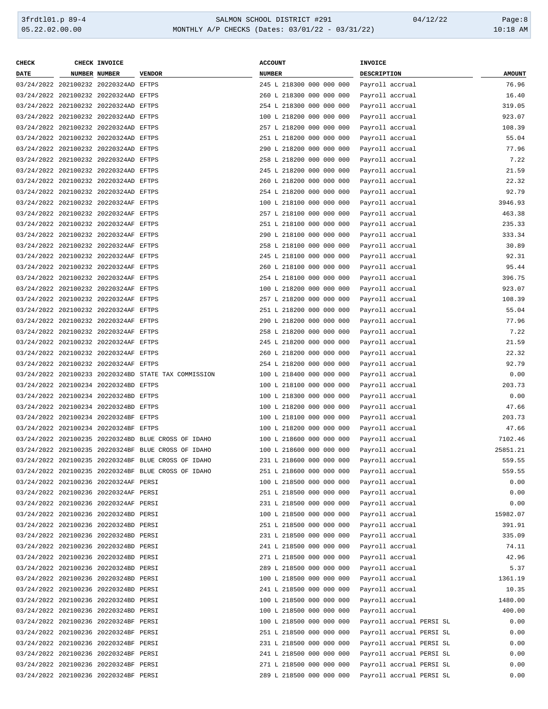| <b>CHECK</b> | CHECK INVOICE                         |                                                      | <b>ACCOUNT</b>           | INVOICE     |                          |               |
|--------------|---------------------------------------|------------------------------------------------------|--------------------------|-------------|--------------------------|---------------|
| DATE         | NUMBER NUMBER                         | <b>VENDOR</b>                                        | <b>NUMBER</b>            | DESCRIPTION |                          | <b>AMOUNT</b> |
|              | 03/24/2022 202100232 20220324AD EFTPS |                                                      | 245 L 218300 000 000 000 |             | Payroll accrual          | 76.96         |
|              | 03/24/2022 202100232 20220324AD EFTPS |                                                      | 260 L 218300 000 000 000 |             | Payroll accrual          | 16.40         |
|              | 03/24/2022 202100232 20220324AD EFTPS |                                                      | 254 L 218300 000 000 000 |             | Payroll accrual          | 319.05        |
|              | 03/24/2022 202100232 20220324AD EFTPS |                                                      | 100 L 218200 000 000 000 |             | Payroll accrual          | 923.07        |
|              | 03/24/2022 202100232 20220324AD EFTPS |                                                      | 257 L 218200 000 000 000 |             | Payroll accrual          | 108.39        |
|              | 03/24/2022 202100232 20220324AD EFTPS |                                                      | 251 L 218200 000 000 000 |             |                          | 55.04         |
|              |                                       |                                                      |                          |             | Payroll accrual          |               |
|              | 03/24/2022 202100232 20220324AD EFTPS |                                                      | 290 L 218200 000 000 000 |             | Payroll accrual          | 77.96         |
|              | 03/24/2022 202100232 20220324AD EFTPS |                                                      | 258 L 218200 000 000 000 |             | Payroll accrual          | 7.22          |
|              | 03/24/2022 202100232 20220324AD EFTPS |                                                      | 245 L 218200 000 000 000 |             | Payroll accrual          | 21.59         |
|              | 03/24/2022 202100232 20220324AD EFTPS |                                                      | 260 L 218200 000 000 000 |             | Payroll accrual          | 22.32         |
|              | 03/24/2022 202100232 20220324AD EFTPS |                                                      | 254 L 218200 000 000 000 |             | Payroll accrual          | 92.79         |
|              | 03/24/2022 202100232 20220324AF EFTPS |                                                      | 100 L 218100 000 000 000 |             | Payroll accrual          | 3946.93       |
|              | 03/24/2022 202100232 20220324AF EFTPS |                                                      | 257 L 218100 000 000 000 |             | Payroll accrual          | 463.38        |
|              | 03/24/2022 202100232 20220324AF EFTPS |                                                      | 251 L 218100 000 000 000 |             | Payroll accrual          | 235.33        |
|              | 03/24/2022 202100232 20220324AF EFTPS |                                                      | 290 L 218100 000 000 000 |             | Payroll accrual          | 333.34        |
|              | 03/24/2022 202100232 20220324AF EFTPS |                                                      | 258 L 218100 000 000 000 |             | Payroll accrual          | 30.89         |
|              | 03/24/2022 202100232 20220324AF EFTPS |                                                      | 245 L 218100 000 000 000 |             | Payroll accrual          | 92.31         |
|              | 03/24/2022 202100232 20220324AF EFTPS |                                                      | 260 L 218100 000 000 000 |             | Payroll accrual          | 95.44         |
|              | 03/24/2022 202100232 20220324AF EFTPS |                                                      | 254 L 218100 000 000 000 |             | Payroll accrual          | 396.75        |
|              | 03/24/2022 202100232 20220324AF EFTPS |                                                      | 100 L 218200 000 000 000 |             | Payroll accrual          | 923.07        |
|              | 03/24/2022 202100232 20220324AF EFTPS |                                                      | 257 L 218200 000 000 000 |             | Payroll accrual          | 108.39        |
|              | 03/24/2022 202100232 20220324AF EFTPS |                                                      | 251 L 218200 000 000 000 |             | Payroll accrual          | 55.04         |
|              |                                       |                                                      |                          |             |                          |               |
|              | 03/24/2022 202100232 20220324AF EFTPS |                                                      | 290 L 218200 000 000 000 |             | Payroll accrual          | 77.96         |
|              | 03/24/2022 202100232 20220324AF EFTPS |                                                      | 258 L 218200 000 000 000 |             | Payroll accrual          | 7.22          |
|              | 03/24/2022 202100232 20220324AF EFTPS |                                                      | 245 L 218200 000 000 000 |             | Payroll accrual          | 21.59         |
|              | 03/24/2022 202100232 20220324AF EFTPS |                                                      | 260 L 218200 000 000 000 |             | Payroll accrual          | 22.32         |
|              | 03/24/2022 202100232 20220324AF EFTPS |                                                      | 254 L 218200 000 000 000 |             | Payroll accrual          | 92.79         |
|              |                                       | 03/24/2022 202100233 20220324BD STATE TAX COMMISSION | 100 L 218400 000 000 000 |             | Payroll accrual          | 0.00          |
|              | 03/24/2022 202100234 20220324BD EFTPS |                                                      | 100 L 218100 000 000 000 |             | Payroll accrual          | 203.73        |
|              | 03/24/2022 202100234 20220324BD EFTPS |                                                      | 100 L 218300 000 000 000 |             | Payroll accrual          | 0.00          |
|              | 03/24/2022 202100234 20220324BD EFTPS |                                                      | 100 L 218200 000 000 000 |             | Payroll accrual          | 47.66         |
|              | 03/24/2022 202100234 20220324BF EFTPS |                                                      | 100 L 218100 000 000 000 |             | Payroll accrual          | 203.73        |
|              | 03/24/2022 202100234 20220324BF EFTPS |                                                      | 100 L 218200 000 000 000 |             | Payroll accrual          | 47.66         |
|              |                                       | 03/24/2022 202100235 20220324BD BLUE CROSS OF IDAHO  | 100 L 218600 000 000 000 |             | Payroll accrual          | 7102.46       |
|              |                                       | 03/24/2022 202100235 20220324BF BLUE CROSS OF IDAHO  | 100 L 218600 000 000 000 |             | Payroll accrual          | 25851.21      |
|              |                                       | 03/24/2022 202100235 20220324BF BLUE CROSS OF IDAHO  | 231 L 218600 000 000 000 |             | Payroll accrual          | 559.55        |
|              |                                       | 03/24/2022 202100235 20220324BF BLUE CROSS OF IDAHO  | 251 L 218600 000 000 000 |             | Payroll accrual          | 559.55        |
|              | 03/24/2022 202100236 20220324AF PERSI |                                                      | 100 L 218500 000 000 000 |             | Payroll accrual          | 0.00          |
|              | 03/24/2022 202100236 20220324AF PERSI |                                                      | 251 L 218500 000 000 000 |             | Payroll accrual          | 0.00          |
|              | 03/24/2022 202100236 20220324AF PERSI |                                                      | 231 L 218500 000 000 000 |             | Payroll accrual          | 0.00          |
|              |                                       |                                                      |                          |             |                          | 15982.07      |
|              | 03/24/2022 202100236 20220324BD PERSI |                                                      | 100 L 218500 000 000 000 |             | Payroll accrual          |               |
|              | 03/24/2022 202100236 20220324BD PERSI |                                                      | 251 L 218500 000 000 000 |             | Payroll accrual          | 391.91        |
|              | 03/24/2022 202100236 20220324BD PERSI |                                                      | 231 L 218500 000 000 000 |             | Payroll accrual          | 335.09        |
|              | 03/24/2022 202100236 20220324BD PERSI |                                                      | 241 L 218500 000 000 000 |             | Payroll accrual          | 74.11         |
|              | 03/24/2022 202100236 20220324BD PERSI |                                                      | 271 L 218500 000 000 000 |             | Payroll accrual          | 42.96         |
|              | 03/24/2022 202100236 20220324BD PERSI |                                                      | 289 L 218500 000 000 000 |             | Payroll accrual          | 5.37          |
|              | 03/24/2022 202100236 20220324BD PERSI |                                                      | 100 L 218500 000 000 000 |             | Payroll accrual          | 1361.19       |
|              | 03/24/2022 202100236 20220324BD PERSI |                                                      | 241 L 218500 000 000 000 |             | Payroll accrual          | 10.35         |
|              | 03/24/2022 202100236 20220324BD PERSI |                                                      | 100 L 218500 000 000 000 |             | Payroll accrual          | 1480.00       |
|              | 03/24/2022 202100236 20220324BD PERSI |                                                      | 100 L 218500 000 000 000 |             | Payroll accrual          | 400.00        |
|              | 03/24/2022 202100236 20220324BF PERSI |                                                      | 100 L 218500 000 000 000 |             | Payroll accrual PERSI SL | 0.00          |
|              | 03/24/2022 202100236 20220324BF PERSI |                                                      | 251 L 218500 000 000 000 |             | Payroll accrual PERSI SL | 0.00          |
|              | 03/24/2022 202100236 20220324BF PERSI |                                                      | 231 L 218500 000 000 000 |             | Payroll accrual PERSI SL | 0.00          |
|              | 03/24/2022 202100236 20220324BF PERSI |                                                      | 241 L 218500 000 000 000 |             | Payroll accrual PERSI SL | 0.00          |
|              | 03/24/2022 202100236 20220324BF PERSI |                                                      | 271 L 218500 000 000 000 |             | Payroll accrual PERSI SL | 0.00          |
|              | 03/24/2022 202100236 20220324BF PERSI |                                                      | 289 L 218500 000 000 000 |             | Payroll accrual PERSI SL | 0.00          |
|              |                                       |                                                      |                          |             |                          |               |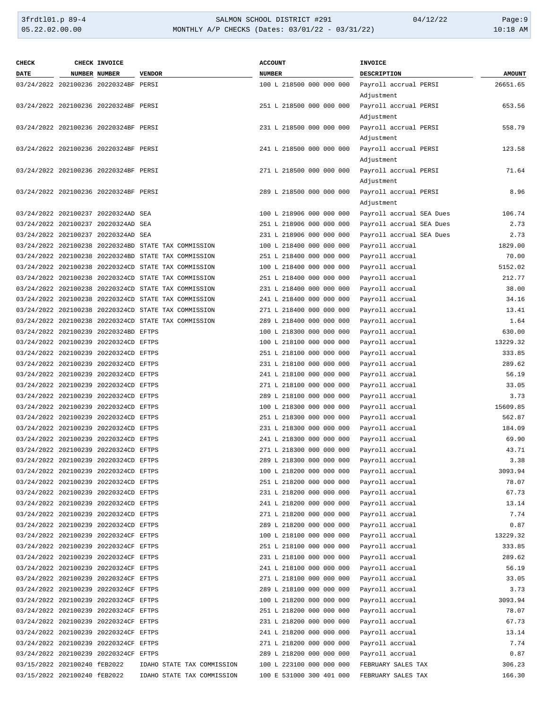#### 3frdtl01.p 89-4 SALMON SCHOOL DISTRICT #291 04/12/22 Page:9 05.22.02.00.00 MONTHLY A/P CHECKS (Dates: 03/01/22 - 03/31/22) 10:18 AM

| <b>CHECK</b>                 | CHECK INVOICE                         |                                                      | <b>ACCOUNT</b>                           | <b>INVOICE</b>           |               |
|------------------------------|---------------------------------------|------------------------------------------------------|------------------------------------------|--------------------------|---------------|
| <b>DATE</b>                  | <b>NUMBER NUMBER</b>                  | <b>VENDOR</b>                                        | <b>NUMBER</b>                            | DESCRIPTION              | <b>AMOUNT</b> |
|                              | 03/24/2022 202100236 20220324BF PERSI |                                                      | 100 L 218500 000 000 000                 | Payroll accrual PERSI    | 26651.65      |
|                              |                                       |                                                      |                                          | Adjustment               |               |
|                              | 03/24/2022 202100236 20220324BF PERSI |                                                      | 251 L 218500 000 000 000                 | Payroll accrual PERSI    | 653.56        |
|                              |                                       |                                                      |                                          | Adjustment               |               |
|                              | 03/24/2022 202100236 20220324BF PERSI |                                                      | 231 L 218500 000 000 000                 | Payroll accrual PERSI    | 558.79        |
|                              |                                       |                                                      |                                          |                          |               |
|                              |                                       |                                                      |                                          | Adjustment               |               |
|                              | 03/24/2022 202100236 20220324BF PERSI |                                                      | 241 L 218500 000 000 000                 | Payroll accrual PERSI    | 123.58        |
|                              |                                       |                                                      |                                          | Adjustment               |               |
|                              | 03/24/2022 202100236 20220324BF PERSI |                                                      | 271 L 218500 000 000 000                 | Payroll accrual PERSI    | 71.64         |
|                              |                                       |                                                      |                                          | Adjustment               |               |
|                              | 03/24/2022 202100236 20220324BF PERSI |                                                      | 289 L 218500 000 000 000                 | Payroll accrual PERSI    | 8.96          |
|                              |                                       |                                                      |                                          | Adjustment               |               |
|                              | 03/24/2022 202100237 20220324AD SEA   |                                                      | 100 L 218906 000 000 000                 | Payroll accrual SEA Dues | 106.74        |
|                              | 03/24/2022 202100237 20220324AD SEA   |                                                      | 251 L 218906 000 000 000                 | Payroll accrual SEA Dues | 2.73          |
|                              | 03/24/2022 202100237 20220324AD SEA   |                                                      | 231 L 218906 000 000 000                 | Payroll accrual SEA Dues | 2.73          |
|                              |                                       | 03/24/2022 202100238 20220324BD STATE TAX COMMISSION | 100 L 218400 000 000 000                 | Payroll accrual          | 1829.00       |
|                              |                                       | 03/24/2022 202100238 20220324BD STATE TAX COMMISSION | 251 L 218400 000 000 000                 | Payroll accrual          | 70.00         |
|                              |                                       | 03/24/2022 202100238 20220324CD STATE TAX COMMISSION | 100 L 218400 000 000 000                 | Payroll accrual          | 5152.02       |
|                              |                                       | 03/24/2022 202100238 20220324CD STATE TAX COMMISSION | 251 L 218400 000 000 000                 | Payroll accrual          | 212.77        |
|                              |                                       | 03/24/2022 202100238 20220324CD STATE TAX COMMISSION | 231 L 218400 000 000 000                 | Payroll accrual          | 38.00         |
|                              |                                       | 03/24/2022 202100238 20220324CD STATE TAX COMMISSION | 241 L 218400 000 000 000                 | Payroll accrual          | 34.16         |
|                              |                                       | 03/24/2022 202100238 20220324CD STATE TAX COMMISSION | 271 L 218400 000 000 000                 | Payroll accrual          | 13.41         |
|                              |                                       | 03/24/2022 202100238 20220324CD STATE TAX COMMISSION |                                          |                          | 1.64          |
|                              |                                       |                                                      | 289 L 218400 000 000 000                 | Payroll accrual          |               |
|                              | 03/24/2022 202100239 20220324BD EFTPS |                                                      | 100 L 218300 000 000 000                 | Payroll accrual          | 630.00        |
|                              | 03/24/2022 202100239 20220324CD EFTPS |                                                      | 100 L 218100 000 000 000                 | Payroll accrual          | 13229.32      |
|                              | 03/24/2022 202100239 20220324CD EFTPS |                                                      | 251 L 218100 000 000 000                 | Payroll accrual          | 333.85        |
|                              | 03/24/2022 202100239 20220324CD EFTPS |                                                      | 231 L 218100 000 000 000                 | Payroll accrual          | 289.62        |
|                              | 03/24/2022 202100239 20220324CD EFTPS |                                                      | 241 L 218100 000 000 000                 | Payroll accrual          | 56.19         |
|                              | 03/24/2022 202100239 20220324CD EFTPS |                                                      | 271 L 218100 000 000 000                 | Payroll accrual          | 33.05         |
|                              | 03/24/2022 202100239 20220324CD EFTPS |                                                      | 289 L 218100 000 000 000                 | Payroll accrual          | 3.73          |
|                              | 03/24/2022 202100239 20220324CD EFTPS |                                                      | 100 L 218300 000 000 000                 | Payroll accrual          | 15609.85      |
|                              | 03/24/2022 202100239 20220324CD EFTPS |                                                      | 251 L 218300 000 000 000                 | Payroll accrual          | 562.87        |
|                              | 03/24/2022 202100239 20220324CD EFTPS |                                                      | 231 L 218300 000 000 000                 | Payroll accrual          | 184.09        |
|                              | 03/24/2022 202100239 20220324CD EFTPS |                                                      | 241 L 218300 000 000 000                 | Payroll accrual          | 69.90         |
|                              | 03/24/2022 202100239 20220324CD EFTPS |                                                      | 271 L 218300 000 000 000                 | Payroll accrual          | 43.71         |
|                              | 03/24/2022 202100239 20220324CD EFTPS |                                                      | 289 L 218300 000 000 000 Payroll accrual |                          | 3.38          |
|                              | 03/24/2022 202100239 20220324CD EFTPS |                                                      | 100 L 218200 000 000 000                 | Payroll accrual          | 3093.94       |
|                              | 03/24/2022 202100239 20220324CD EFTPS |                                                      | 251 L 218200 000 000 000                 | Payroll accrual          | 78.07         |
|                              | 03/24/2022 202100239 20220324CD EFTPS |                                                      | 231 L 218200 000 000 000                 | Payroll accrual          | 67.73         |
|                              | 03/24/2022 202100239 20220324CD EFTPS |                                                      | 241 L 218200 000 000 000                 | Payroll accrual          | 13.14         |
|                              | 03/24/2022 202100239 20220324CD EFTPS |                                                      | 271 L 218200 000 000 000                 | Payroll accrual          | 7.74          |
|                              | 03/24/2022 202100239 20220324CD EFTPS |                                                      |                                          | Payroll accrual          |               |
|                              |                                       |                                                      | 289 L 218200 000 000 000                 |                          | 0.87          |
|                              | 03/24/2022 202100239 20220324CF EFTPS |                                                      | 100 L 218100 000 000 000                 | Payroll accrual          | 13229.32      |
|                              | 03/24/2022 202100239 20220324CF EFTPS |                                                      | 251 L 218100 000 000 000                 | Payroll accrual          | 333.85        |
|                              | 03/24/2022 202100239 20220324CF EFTPS |                                                      | 231 L 218100 000 000 000                 | Payroll accrual          | 289.62        |
|                              | 03/24/2022 202100239 20220324CF EFTPS |                                                      | 241 L 218100 000 000 000                 | Payroll accrual          | 56.19         |
|                              | 03/24/2022 202100239 20220324CF EFTPS |                                                      | 271 L 218100 000 000 000                 | Payroll accrual          | 33.05         |
|                              | 03/24/2022 202100239 20220324CF EFTPS |                                                      | 289 L 218100 000 000 000                 | Payroll accrual          | 3.73          |
|                              | 03/24/2022 202100239 20220324CF EFTPS |                                                      | 100 L 218200 000 000 000                 | Payroll accrual          | 3093.94       |
|                              | 03/24/2022 202100239 20220324CF EFTPS |                                                      | 251 L 218200 000 000 000                 | Payroll accrual          | 78.07         |
|                              | 03/24/2022 202100239 20220324CF EFTPS |                                                      | 231 L 218200 000 000 000                 | Payroll accrual          | 67.73         |
|                              | 03/24/2022 202100239 20220324CF EFTPS |                                                      | 241 L 218200 000 000 000                 | Payroll accrual          | 13.14         |
|                              | 03/24/2022 202100239 20220324CF EFTPS |                                                      | 271 L 218200 000 000 000                 | Payroll accrual          | 7.74          |
|                              | 03/24/2022 202100239 20220324CF EFTPS |                                                      | 289 L 218200 000 000 000                 | Payroll accrual          | 0.87          |
| 03/15/2022 202100240 fEB2022 |                                       | IDAHO STATE TAX COMMISSION                           | 100 L 223100 000 000 000                 | FEBRUARY SALES TAX       | 306.23        |
| 03/15/2022 202100240 fEB2022 |                                       | IDAHO STATE TAX COMMISSION                           | 100 E 531000 300 401 000                 | FEBRUARY SALES TAX       | 166.30        |
|                              |                                       |                                                      |                                          |                          |               |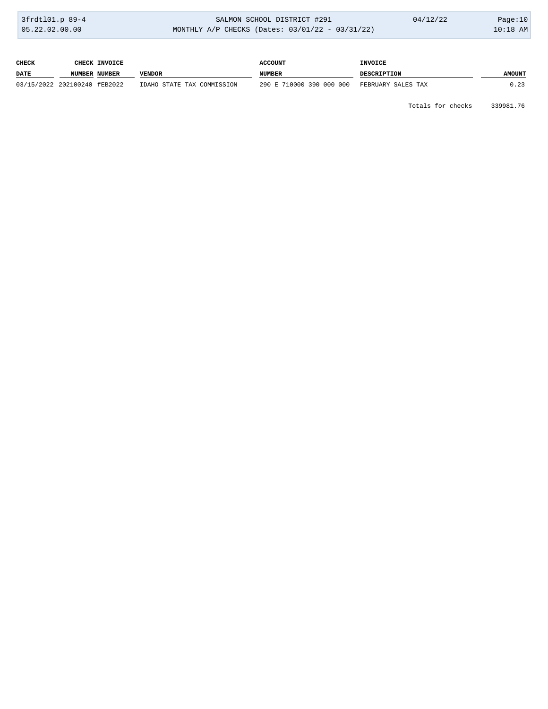| 3frdt101.p 89-4 | SALMON SCHOOL DISTRICT #291                        | 04/12/22 | Page: $10$ |
|-----------------|----------------------------------------------------|----------|------------|
| 05.22.02.00.00  | MONTHLY A/P CHECKS (Dates: $03/01/22 - 03/31/22$ ) |          | $10:18$ AM |

| CHECK       | <b>CHECK INVOICE</b>         |                            | <b>ACCOUNT</b>           | <b>INVOICE</b>     |               |
|-------------|------------------------------|----------------------------|--------------------------|--------------------|---------------|
| <b>DATE</b> | NUMBER NUMBER                | VENDOR                     | <b>NUMBER</b>            | <b>DESCRIPTION</b> | <b>AMOUNT</b> |
|             | 03/15/2022 202100240 fEB2022 | IDAHO STATE TAX COMMISSION | 290 E 710000 390 000 000 | FEBRUARY SALES TAX | 0.23          |

Totals for checks 339981.76